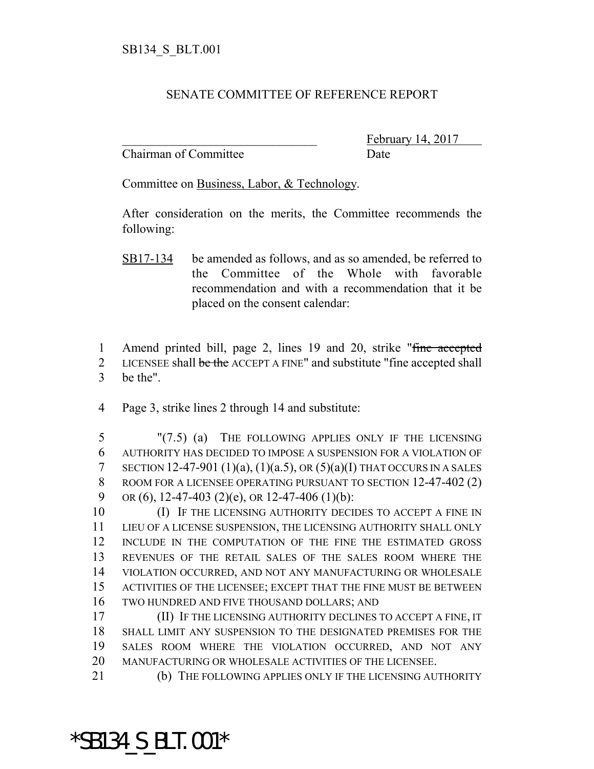## SENATE COMMITTEE OF REFERENCE REPORT

Chairman of Committee Date

February 14, 2017

Committee on Business, Labor, & Technology.

After consideration on the merits, the Committee recommends the following:

- SB17-134 be amended as follows, and as so amended, be referred to the Committee of the Whole with favorable recommendation and with a recommendation that it be placed on the consent calendar:
- 1 Amend printed bill, page 2, lines 19 and 20, strike "fine accepted 2 LICENSEE shall be the ACCEPT A FINE" and substitute "fine accepted shall 3 be the".
- 4 Page 3, strike lines 2 through 14 and substitute:

5 "(7.5) (a) THE FOLLOWING APPLIES ONLY IF THE LICENSING 6 AUTHORITY HAS DECIDED TO IMPOSE A SUSPENSION FOR A VIOLATION OF 7 SECTION 12-47-901 (1)(a), (1)(a.5), OR (5)(a)(I) THAT OCCURS IN A SALES 8 ROOM FOR A LICENSEE OPERATING PURSUANT TO SECTION 12-47-402 (2) 9 OR (6), 12-47-403 (2)(e), OR 12-47-406 (1)(b):

**IF THE LICENSING AUTHORITY DECIDES TO ACCEPT A FINE IN**  LIEU OF A LICENSE SUSPENSION, THE LICENSING AUTHORITY SHALL ONLY INCLUDE IN THE COMPUTATION OF THE FINE THE ESTIMATED GROSS REVENUES OF THE RETAIL SALES OF THE SALES ROOM WHERE THE VIOLATION OCCURRED, AND NOT ANY MANUFACTURING OR WHOLESALE ACTIVITIES OF THE LICENSEE; EXCEPT THAT THE FINE MUST BE BETWEEN TWO HUNDRED AND FIVE THOUSAND DOLLARS; AND

 (II) IF THE LICENSING AUTHORITY DECLINES TO ACCEPT A FINE, IT SHALL LIMIT ANY SUSPENSION TO THE DESIGNATED PREMISES FOR THE SALES ROOM WHERE THE VIOLATION OCCURRED, AND NOT ANY MANUFACTURING OR WHOLESALE ACTIVITIES OF THE LICENSEE.

21 (b) THE FOLLOWING APPLIES ONLY IF THE LICENSING AUTHORITY

## \*SB134\_S\_BLT.001\*